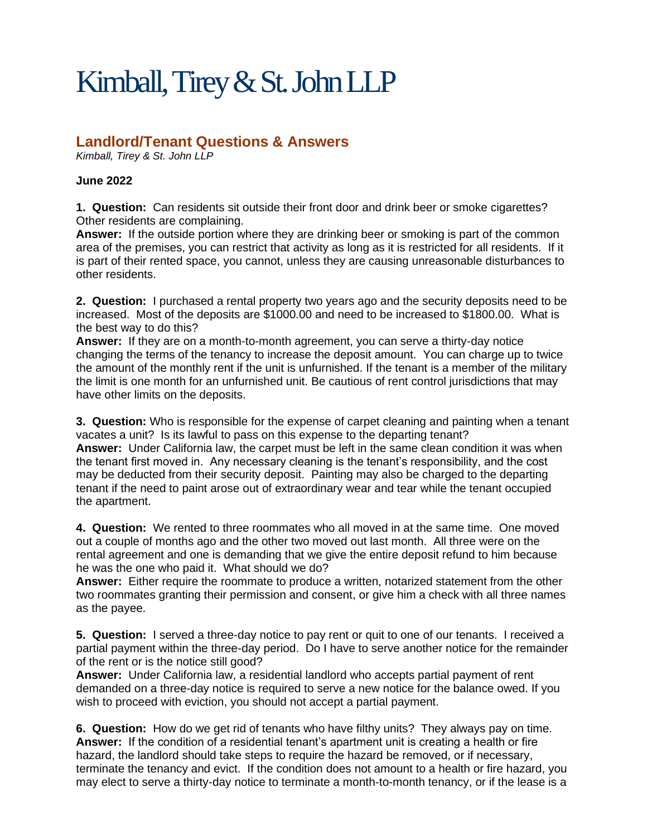## Kimball, Tirey & St. John LLP

## **Landlord/Tenant Questions & Answers**

*Kimball, Tirey & St. John LLP*

## **June 2022**

**1. Question:** Can residents sit outside their front door and drink beer or smoke cigarettes? Other residents are complaining.

**Answer:** If the outside portion where they are drinking beer or smoking is part of the common area of the premises, you can restrict that activity as long as it is restricted for all residents. If it is part of their rented space, you cannot, unless they are causing unreasonable disturbances to other residents.

**2. Question:** I purchased a rental property two years ago and the security deposits need to be increased. Most of the deposits are \$1000.00 and need to be increased to \$1800.00. What is the best way to do this?

**Answer:** If they are on a month-to-month agreement, you can serve a thirty-day notice changing the terms of the tenancy to increase the deposit amount. You can charge up to twice the amount of the monthly rent if the unit is unfurnished. If the tenant is a member of the military the limit is one month for an unfurnished unit. Be cautious of rent control jurisdictions that may have other limits on the deposits.

**3. Question:** Who is responsible for the expense of carpet cleaning and painting when a tenant vacates a unit? Is its lawful to pass on this expense to the departing tenant? **Answer:** Under California law, the carpet must be left in the same clean condition it was when the tenant first moved in. Any necessary cleaning is the tenant's responsibility, and the cost may be deducted from their security deposit. Painting may also be charged to the departing tenant if the need to paint arose out of extraordinary wear and tear while the tenant occupied the apartment.

**4. Question:** We rented to three roommates who all moved in at the same time. One moved out a couple of months ago and the other two moved out last month. All three were on the rental agreement and one is demanding that we give the entire deposit refund to him because he was the one who paid it. What should we do?

**Answer:** Either require the roommate to produce a written, notarized statement from the other two roommates granting their permission and consent, or give him a check with all three names as the payee.

**5. Question:** I served a three-day notice to pay rent or quit to one of our tenants. I received a partial payment within the three-day period. Do I have to serve another notice for the remainder of the rent or is the notice still good?

**Answer:** Under California law, a residential landlord who accepts partial payment of rent demanded on a three-day notice is required to serve a new notice for the balance owed. If you wish to proceed with eviction, you should not accept a partial payment.

**6. Question:** How do we get rid of tenants who have filthy units? They always pay on time. **Answer:** If the condition of a residential tenant's apartment unit is creating a health or fire hazard, the landlord should take steps to require the hazard be removed, or if necessary, terminate the tenancy and evict. If the condition does not amount to a health or fire hazard, you may elect to serve a thirty-day notice to terminate a month-to-month tenancy, or if the lease is a